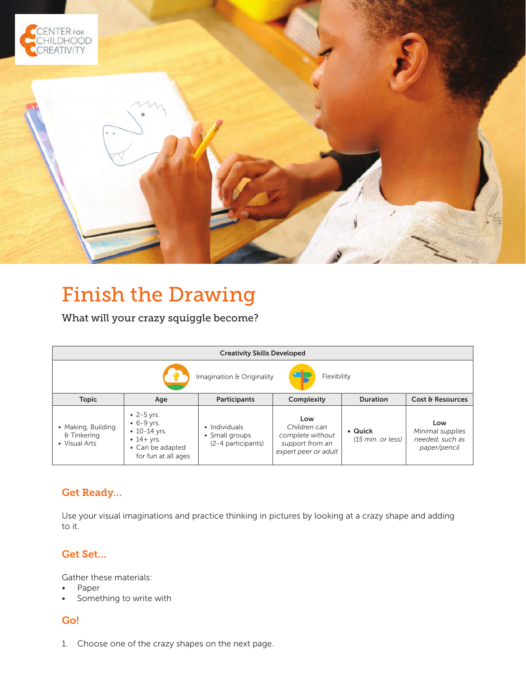

# Finish the Drawing

What will your crazy squiggle become?

| <b>Creativity Skills Developed</b>                 |                                                                                                                     |                                                       |                                                                                    |                              |                                                            |
|----------------------------------------------------|---------------------------------------------------------------------------------------------------------------------|-------------------------------------------------------|------------------------------------------------------------------------------------|------------------------------|------------------------------------------------------------|
| Œ<br>Flexibility<br>Imagination & Originality      |                                                                                                                     |                                                       |                                                                                    |                              |                                                            |
| <b>Topic</b>                                       | Age                                                                                                                 | Participants                                          | Complexity                                                                         | <b>Duration</b>              | Cost & Resources                                           |
| • Making, Building<br>& Tinkering<br>• Visual Arts | $-2 - 5$ yrs.<br>$-6 - 9$ yrs.<br>$\cdot$ 10-14 yrs.<br>$\cdot$ 14+ yrs.<br>• Can be adapted<br>for fun at all ages | • Individuals<br>• Small groups<br>(2-4 participants) | Low<br>Children can<br>complete without<br>support from an<br>expert peer or adult | • Quick<br>(15 min. or less) | Low<br>Minimal supplies<br>needed, such as<br>paper/pencil |

## Get Ready…

Use your visual imaginations and practice thinking in pictures by looking at a crazy shape and adding to it.

## Get Set…

Gather these materials:

- Paper
- Something to write with

### Go!

1. Choose one of the crazy shapes on the next page.